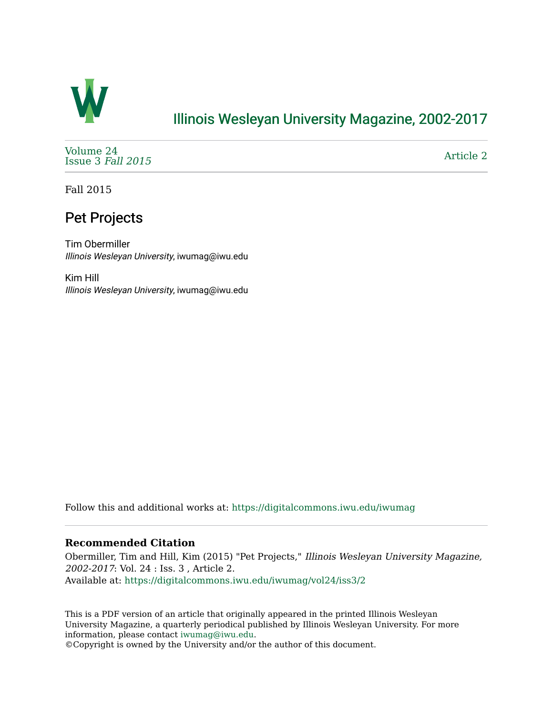

## [Illinois Wesleyan University Magazine, 2002-2017](https://digitalcommons.iwu.edu/iwumag)

[Volume 24](https://digitalcommons.iwu.edu/iwumag/vol24)  [Issue 3](https://digitalcommons.iwu.edu/iwumag/vol24/iss3) Fall 2015

[Article 2](https://digitalcommons.iwu.edu/iwumag/vol24/iss3/2) 

Fall 2015

## Pet Projects

Tim Obermiller Illinois Wesleyan University, iwumag@iwu.edu

Kim Hill Illinois Wesleyan University, iwumag@iwu.edu

Follow this and additional works at: [https://digitalcommons.iwu.edu/iwumag](https://digitalcommons.iwu.edu/iwumag?utm_source=digitalcommons.iwu.edu%2Fiwumag%2Fvol24%2Fiss3%2F2&utm_medium=PDF&utm_campaign=PDFCoverPages) 

### **Recommended Citation**

Obermiller, Tim and Hill, Kim (2015) "Pet Projects," Illinois Wesleyan University Magazine, 2002-2017: Vol. 24 : Iss. 3 , Article 2. Available at: [https://digitalcommons.iwu.edu/iwumag/vol24/iss3/2](https://digitalcommons.iwu.edu/iwumag/vol24/iss3/2?utm_source=digitalcommons.iwu.edu%2Fiwumag%2Fvol24%2Fiss3%2F2&utm_medium=PDF&utm_campaign=PDFCoverPages)

This is a PDF version of an article that originally appeared in the printed Illinois Wesleyan University Magazine, a quarterly periodical published by Illinois Wesleyan University. For more information, please contact [iwumag@iwu.edu](mailto:iwumag@iwu.edu).

©Copyright is owned by the University and/or the author of this document.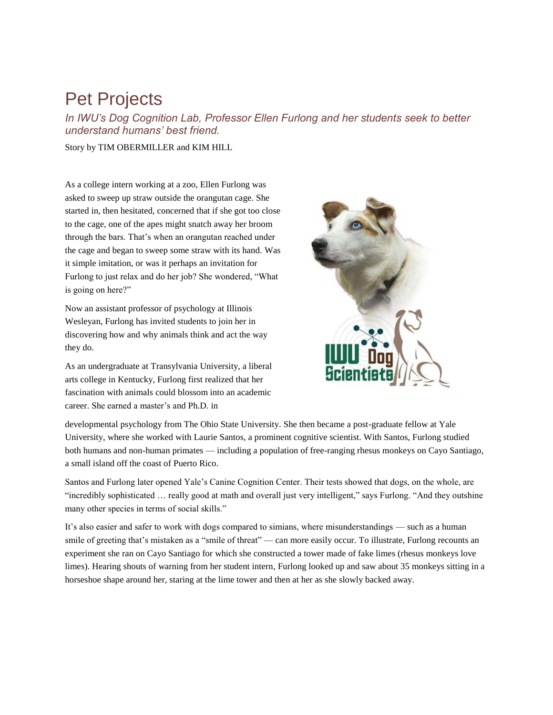# Pet Projects

*In IWU's Dog Cognition Lab, Professor Ellen Furlong and her students seek to better understand humans' best friend.*

Story by TIM OBERMILLER and KIM HILL

As a college intern working at a zoo, Ellen Furlong was asked to sweep up straw outside the orangutan cage. She started in, then hesitated, concerned that if she got too close to the cage, one of the apes might snatch away her broom through the bars. That's when an orangutan reached under the cage and began to sweep some straw with its hand. Was it simple imitation, or was it perhaps an invitation for Furlong to just relax and do her job? She wondered, "What is going on here?"

Now an assistant professor of psychology at Illinois Wesleyan, Furlong has invited students to join her in discovering how and why animals think and act the way they do.

As an undergraduate at Transylvania University, a liberal arts college in Kentucky, Furlong first realized that her fascination with animals could blossom into an academic career. She earned a master's and Ph.D. in



developmental psychology from The Ohio State University. She then became a post-graduate fellow at Yale University, where she worked with Laurie Santos, a prominent cognitive scientist. With Santos, Furlong studied both humans and non-human primates — including a population of free-ranging rhesus monkeys on Cayo Santiago, a small island off the coast of Puerto Rico.

Santos and Furlong later opened Yale's Canine Cognition Center. Their tests showed that dogs, on the whole, are "incredibly sophisticated … really good at math and overall just very intelligent," says Furlong. "And they outshine many other species in terms of social skills."

It's also easier and safer to work with dogs compared to simians, where misunderstandings — such as a human smile of greeting that's mistaken as a "smile of threat" — can more easily occur. To illustrate, Furlong recounts an experiment she ran on Cayo Santiago for which she constructed a tower made of fake limes (rhesus monkeys love limes). Hearing shouts of warning from her student intern, Furlong looked up and saw about 35 monkeys sitting in a horseshoe shape around her, staring at the lime tower and then at her as she slowly backed away.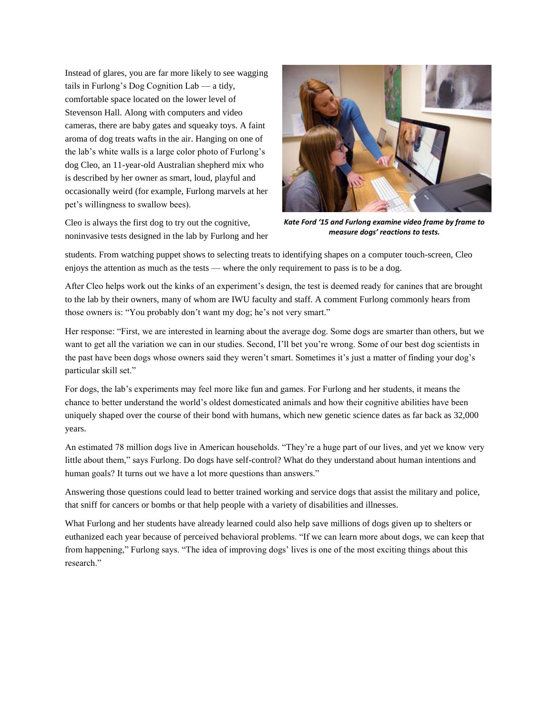Instead of glares, you are far more likely to see wagging tails in Furlong's Dog Cognition Lab — a tidy, comfortable space located on the lower level of Stevenson Hall. Along with computers and video cameras, there are baby gates and squeaky toys. A faint aroma of dog treats wafts in the air. Hanging on one of the lab's white walls is a large color photo of Furlong's dog Cleo, an 11-year-old Australian shepherd mix who is described by her owner as smart, loud, playful and occasionally weird (for example, Furlong marvels at her pet's willingness to swallow bees).

Cleo is always the first dog to try out the cognitive, noninvasive tests designed in the lab by Furlong and her



*Kate Ford '15 and Furlong examine video frame by frame to measure dogs' reactions to tests.*

students. From watching puppet shows to selecting treats to identifying shapes on a computer touch-screen, Cleo enjoys the attention as much as the tests — where the only requirement to pass is to be a dog.

After Cleo helps work out the kinks of an experiment's design, the test is deemed ready for canines that are brought to the lab by their owners, many of whom are IWU faculty and staff. A comment Furlong commonly hears from those owners is: "You probably don't want my dog; he's not very smart."

Her response: "First, we are interested in learning about the average dog. Some dogs are smarter than others, but we want to get all the variation we can in our studies. Second, I'll bet you're wrong. Some of our best dog scientists in the past have been dogs whose owners said they weren't smart. Sometimes it's just a matter of finding your dog's particular skill set."

For dogs, the lab's experiments may feel more like fun and games. For Furlong and her students, it means the chance to better understand the world's oldest domesticated animals and how their cognitive abilities have been uniquely shaped over the course of their bond with humans, which new genetic science dates as far back as 32,000 years.

An estimated 78 million dogs live in American households. "They're a huge part of our lives, and yet we know very little about them," says Furlong. Do dogs have self-control? What do they understand about human intentions and human goals? It turns out we have a lot more questions than answers."

Answering those questions could lead to better trained working and service dogs that assist the military and police, that sniff for cancers or bombs or that help people with a variety of disabilities and illnesses.

What Furlong and her students have already learned could also help save millions of dogs given up to shelters or euthanized each year because of perceived behavioral problems. "If we can learn more about dogs, we can keep that from happening," Furlong says. "The idea of improving dogs' lives is one of the most exciting things about this research."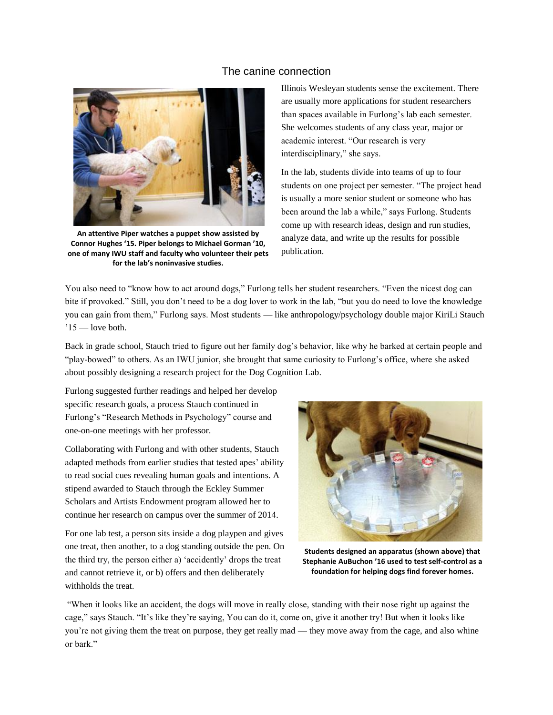#### The canine connection



**An attentive Piper watches a puppet show assisted by Connor Hughes '15. Piper belongs to Michael Gorman '10, one of many IWU staff and faculty who volunteer their pets for the lab's noninvasive studies.**

Illinois Wesleyan students sense the excitement. There are usually more applications for student researchers than spaces available in Furlong's lab each semester. She welcomes students of any class year, major or academic interest. "Our research is very interdisciplinary," she says.

In the lab, students divide into teams of up to four students on one project per semester. "The project head is usually a more senior student or someone who has been around the lab a while," says Furlong. Students come up with research ideas, design and run studies, analyze data, and write up the results for possible publication.

You also need to "know how to act around dogs," Furlong tells her student researchers. "Even the nicest dog can bite if provoked." Still, you don't need to be a dog lover to work in the lab, "but you do need to love the knowledge you can gain from them," Furlong says. Most students — like anthropology/psychology double major KiriLi Stauch  $'15$  — love both.

Back in grade school, Stauch tried to figure out her family dog's behavior, like why he barked at certain people and "play-bowed" to others. As an IWU junior, she brought that same curiosity to Furlong's office, where she asked about possibly designing a research project for the Dog Cognition Lab.

Furlong suggested further readings and helped her develop specific research goals, a process Stauch continued in Furlong's "Research Methods in Psychology" course and one-on-one meetings with her professor.

Collaborating with Furlong and with other students, Stauch adapted methods from earlier studies that tested apes' ability to read social cues revealing human goals and intentions. A stipend awarded to Stauch through the Eckley Summer Scholars and Artists Endowment program allowed her to continue her research on campus over the summer of 2014.

For one lab test, a person sits inside a dog playpen and gives one treat, then another, to a dog standing outside the pen. On the third try, the person either a) 'accidently' drops the treat and cannot retrieve it, or b) offers and then deliberately withholds the treat.



**Students designed an apparatus (shown above) that Stephanie AuBuchon '16 used to test self-control as a foundation for helping dogs find forever homes.**

"When it looks like an accident, the dogs will move in really close, standing with their nose right up against the cage," says Stauch. "It's like they're saying, You can do it, come on, give it another try! But when it looks like you're not giving them the treat on purpose, they get really mad — they move away from the cage, and also whine or bark."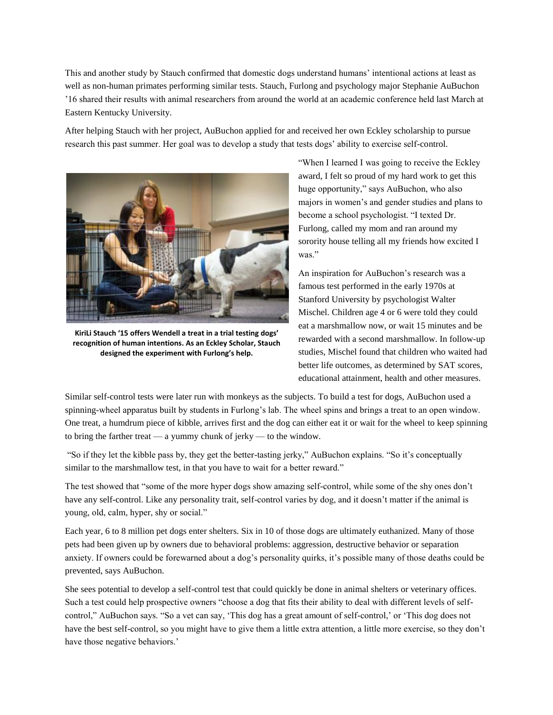This and another study by Stauch confirmed that domestic dogs understand humans' intentional actions at least as well as non-human primates performing similar tests. Stauch, Furlong and psychology major Stephanie AuBuchon '16 shared their results with animal researchers from around the world at an academic conference held last March at Eastern Kentucky University.

After helping Stauch with her project, AuBuchon applied for and received her own Eckley scholarship to pursue research this past summer. Her goal was to develop a study that tests dogs' ability to exercise self-control.



**KiriLi Stauch '15 offers Wendell a treat in a trial testing dogs' recognition of human intentions. As an Eckley Scholar, Stauch designed the experiment with Furlong's help.**

"When I learned I was going to receive the Eckley award, I felt so proud of my hard work to get this huge opportunity," says AuBuchon, who also majors in women's and gender studies and plans to become a school psychologist. "I texted Dr. Furlong, called my mom and ran around my sorority house telling all my friends how excited I was."

An inspiration for AuBuchon's research was a famous test performed in the early 1970s at Stanford University by psychologist Walter Mischel. Children age 4 or 6 were told they could eat a marshmallow now, or wait 15 minutes and be rewarded with a second marshmallow. In follow-up studies, Mischel found that children who waited had better life outcomes, as determined by SAT scores, educational attainment, health and other measures.

Similar self-control tests were later run with monkeys as the subjects. To build a test for dogs, AuBuchon used a spinning-wheel apparatus built by students in Furlong's lab. The wheel spins and brings a treat to an open window. One treat, a humdrum piece of kibble, arrives first and the dog can either eat it or wait for the wheel to keep spinning to bring the farther treat — a yummy chunk of jerky — to the window.

"So if they let the kibble pass by, they get the better-tasting jerky," AuBuchon explains. "So it's conceptually similar to the marshmallow test, in that you have to wait for a better reward."

The test showed that "some of the more hyper dogs show amazing self-control, while some of the shy ones don't have any self-control. Like any personality trait, self-control varies by dog, and it doesn't matter if the animal is young, old, calm, hyper, shy or social."

Each year, 6 to 8 million pet dogs enter shelters. Six in 10 of those dogs are ultimately euthanized. Many of those pets had been given up by owners due to behavioral problems: aggression, destructive behavior or separation anxiety. If owners could be forewarned about a dog's personality quirks, it's possible many of those deaths could be prevented, says AuBuchon.

She sees potential to develop a self-control test that could quickly be done in animal shelters or veterinary offices. Such a test could help prospective owners "choose a dog that fits their ability to deal with different levels of selfcontrol," AuBuchon says. "So a vet can say, 'This dog has a great amount of self-control,' or 'This dog does not have the best self-control, so you might have to give them a little extra attention, a little more exercise, so they don't have those negative behaviors.'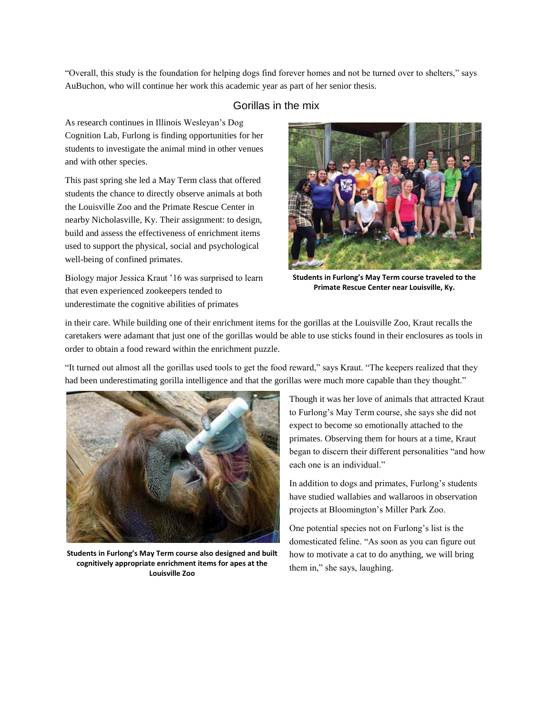"Overall, this study is the foundation for helping dogs find forever homes and not be turned over to shelters," says AuBuchon, who will continue her work this academic year as part of her senior thesis.

### Gorillas in the mix

As research continues in Illinois Wesleyan's Dog Cognition Lab, Furlong is finding opportunities for her students to investigate the animal mind in other venues and with other species.

This past spring she led a May Term class that offered students the chance to directly observe animals at both the Louisville Zoo and the Primate Rescue Center in nearby Nicholasville, Ky. Their assignment: to design, build and assess the effectiveness of enrichment items used to support the physical, social and psychological well-being of confined primates.

Biology major Jessica Kraut '16 was surprised to learn that even experienced zookeepers tended to underestimate the cognitive abilities of primates



**Students in Furlong's May Term course traveled to the Primate Rescue Center near Louisville, Ky.**

in their care. While building one of their enrichment items for the gorillas at the Louisville Zoo, Kraut recalls the caretakers were adamant that just one of the gorillas would be able to use sticks found in their enclosures as tools in order to obtain a food reward within the enrichment puzzle.

"It turned out almost all the gorillas used tools to get the food reward," says Kraut. "The keepers realized that they had been underestimating gorilla intelligence and that the gorillas were much more capable than they thought."



**Students in Furlong's May Term course also designed and built cognitively appropriate enrichment items for apes at the Louisville Zoo**

Though it was her love of animals that attracted Kraut to Furlong's May Term course, she says she did not expect to become so emotionally attached to the primates. Observing them for hours at a time, Kraut began to discern their different personalities "and how each one is an individual."

In addition to dogs and primates, Furlong's students have studied wallabies and wallaroos in observation projects at Bloomington's Miller Park Zoo.

One potential species not on Furlong's list is the domesticated feline. "As soon as you can figure out how to motivate a cat to do anything, we will bring them in," she says, laughing.